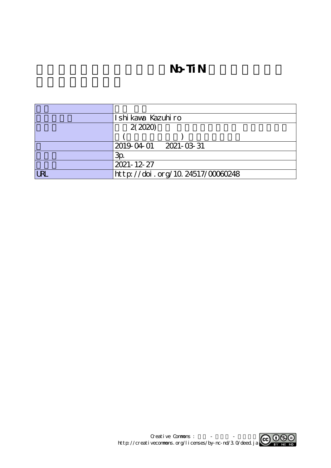# **N**b-TiN

|            | Ishi kaya Kazuhiro               |
|------------|----------------------------------|
|            | 2(2020)                          |
|            |                                  |
|            | 2019-04-01 2021-03-31            |
|            | Зp                               |
|            | 2021-12-27                       |
| <b>URL</b> | http://doi.org/10.24517/00060248 |

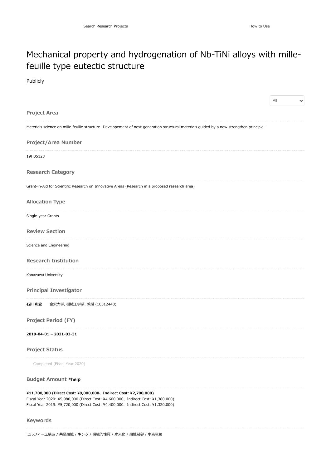## Mechanical property and hydrogenation of Nb-TiNi alloys with millefeuille type eutectic structure

#### Publicly

|                                                                                                                                                                                                                                          | All<br>$\checkmark$ |
|------------------------------------------------------------------------------------------------------------------------------------------------------------------------------------------------------------------------------------------|---------------------|
| <b>Project Area</b>                                                                                                                                                                                                                      |                     |
| Materials science on mille-feullie structure -Developement of next-generation structural materials guided by a new strengthen principle-                                                                                                 |                     |
| Project/Area Number                                                                                                                                                                                                                      |                     |
| 19H05123                                                                                                                                                                                                                                 |                     |
| <b>Research Category</b>                                                                                                                                                                                                                 |                     |
| Grant-in-Aid for Scientific Research on Innovative Areas (Research in a proposed research area)                                                                                                                                          |                     |
| <b>Allocation Type</b>                                                                                                                                                                                                                   |                     |
| Single-year Grants                                                                                                                                                                                                                       |                     |
| <b>Review Section</b>                                                                                                                                                                                                                    |                     |
| Science and Engineering                                                                                                                                                                                                                  |                     |
| <b>Research Institution</b>                                                                                                                                                                                                              |                     |
| Kanazawa University                                                                                                                                                                                                                      |                     |
| <b>Principal Investigator</b>                                                                                                                                                                                                            |                     |
| 石川 和宏<br>金沢大学, 機械工学系, 教授 (10312448)                                                                                                                                                                                                      |                     |
| <b>Project Period (FY)</b>                                                                                                                                                                                                               |                     |
| 2019-04-01 - 2021-03-31                                                                                                                                                                                                                  |                     |
| <b>Project Status</b>                                                                                                                                                                                                                    |                     |
| Completed (Fiscal Year 2020)                                                                                                                                                                                                             |                     |
| <b>Budget Amount *help</b>                                                                                                                                                                                                               |                     |
| ¥11,700,000 (Direct Cost: ¥9,000,000、Indirect Cost: ¥2,700,000)<br>Fiscal Year 2020: ¥5,980,000 (Direct Cost: ¥4,600,000、Indirect Cost: ¥1,380,000)<br>Fiscal Year 2019: ¥5,720,000 (Direct Cost: ¥4,400,000, Indirect Cost: ¥1,320,000) |                     |

#### **Keywords**

ミルフィーユ構造 / 共晶組織 / キンク / 機械的性質 / 水素化 / 組織制御 / 水素吸蔵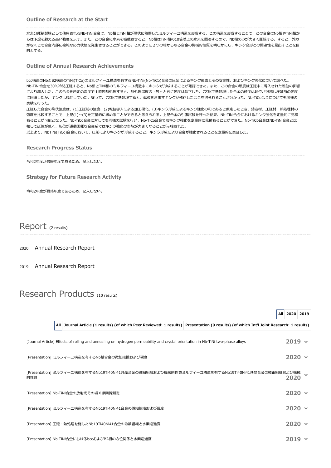水素分離精製膜として使用されるNb-TiNi合金は、Nb相とTiNi相が層状に積層したミルフィーユ構造を形成する。この構造を形成することで、この合金はNb相やTiNi相か らは予想を超える高い強度を示す。また、この合金に水素を吸蔵させると、Nb相はTiNi相の10倍以上の水素を固溶するので、Nb相のみが大きく膨張する。すると、外力 がなくとも合金内部に複雑な応力状態を発生させることができる。このように2つの相からなる合金の機械的性質を明らかにし、キンク変形との関連性を見出すことを目 的とする。

**Outline of Annual Research Achievements**

bcc構造のNbとB2構造のTiNi(TiCo)のミルフィーユ構造を有するNb-TiNi(Nb-TiCo)合金の圧延によるキンク形成とその安定性、およびキンク強化について調べた。 Nb-TiNi合金を30%冷間圧延すると、Nb相とTiNi相のミルフィーユ構造中にキンクが形成することが確認できた。また、この合金の硬度は圧延中に導入された転位の影響 により増大した。この合金を所定の温度で1時間熱処理すると、熱処理温度の上昇とともに硬度は低下した。723Kで熱処理した合金の硬度は転位が消滅し圧延前の硬度 に回復したが、キンクは残存していた。従って、723Kで熱処理すると、転位を含まずキンクが残存した合金を得られることが分かった。Nb-TiCo合金についても同様の 実験を行った。 圧延した合金の降伏強度は、(1)圧延前の強度、(2)転位導入による加工硬化、(3)キンク形成によるキンク強化の和であると仮定したとき、鋳造材、圧延材、熱処理材の 強度を比較することで、上記(1)~(3)を定量的に求めることができると考えられる。上記合金の引張試験を行った結果、Nb-TiNi合金におけるキンク強化を定量的に見積 もることが可能となった。Nb-TiCo合金に対しても同様の試験を行い、Nb-TiCo合金でもキンク強化を定量的に見積もることができた。Nb-TiCo合金はNb-TiNi合金と比

較して延性が低く、転位が運動困難な合金系ではキンク強化の寄与が大きくなることが示唆された。

以上より、NbTiNi(TiCo)合金において、圧延によりキンクが形成すること、キンク形成により合金が強化されることを定量的に実証した。

**Research Progress Status**

令和2年度が最終年度であるため、記入しない。

**Strategy for Future Research Activity**

令和2年度が最終年度であるため、記入しない。

Report (2 results)

2020 [Annual Research](https://kaken.nii.ac.jp/en/report/KAKENHI-PUBLICLY-19H05123/19H051232020jisseki/) Report

2019 [Annual Research](https://kaken.nii.ac.jp/en/report/KAKENHI-PUBLICLY-19H05123/19H051232019jisseki/) Report

### Research Products (10 results)

|     |                                                                                                                                         | 2020 2019<br>All |  |
|-----|-----------------------------------------------------------------------------------------------------------------------------------------|------------------|--|
|     | All Journal Article (1 results) (of which Peer Reviewed: 1 results) Presentation (9 results) (of which Int'l Joint Research: 1 results) |                  |  |
|     | [Journal Article] Effects of rolling and annealing on hydrogen permeability and crystal orientation in Nb-TiNi two-phase alloys         | $2019 \times$    |  |
|     | [Presentation] ミルフィーユ構造を有するNb基合金の微細組織および硬度                                                                                              | $2020 \times$    |  |
| 的性質 | 「Presentation] ミルフィーユ構造を有するNb19Ti40Ni41共晶合金の微細組織および機械的性質ミルフィーユ構造を有するNb19Ti40Ni41共晶合金の微細組織および機械                                          | 2020             |  |
|     | [Presentation] Nb-TiNi合金の放射光その場 X 線回折測定                                                                                                 | $2020 \times$    |  |
|     | [Presentation] ミルフィーユ構造を有するNb19Ti40Ni41合金の微細組織および硬度                                                                                     | $2020 \times$    |  |
|     | [Presentation] 圧延・熱処理を施したNb19Ti40Ni41合金の微細組織と水素透過度                                                                                      | 2020             |  |
|     | [Presentation] Nb-TiNi合金におけるbccおよびB2相の方位関係と水素透過度                                                                                        |                  |  |